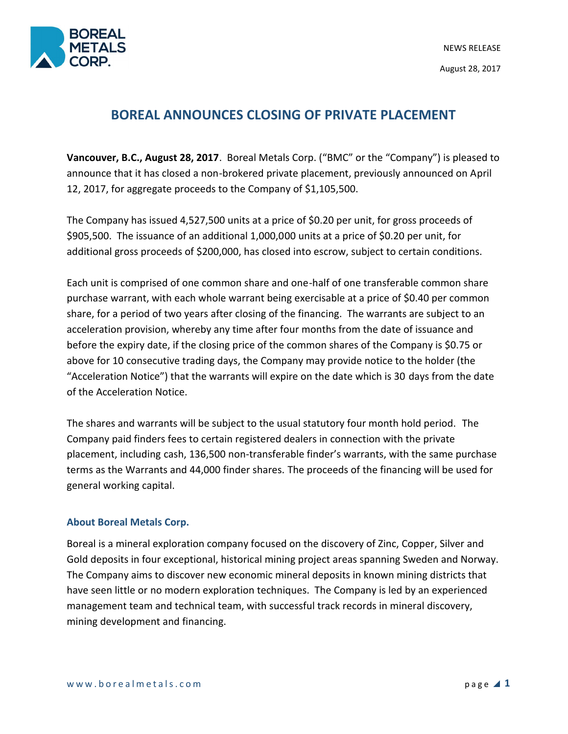

# **BOREAL ANNOUNCES CLOSING OF PRIVATE PLACEMENT**

**Vancouver, B.C., August 28, 2017**. Boreal Metals Corp. ("BMC" or the "Company") is pleased to announce that it has closed a non-brokered private placement, previously announced on April 12, 2017, for aggregate proceeds to the Company of \$1,105,500.

The Company has issued 4,527,500 units at a price of \$0.20 per unit, for gross proceeds of \$905,500. The issuance of an additional 1,000,000 units at a price of \$0.20 per unit, for additional gross proceeds of \$200,000, has closed into escrow, subject to certain conditions.

Each unit is comprised of one common share and one-half of one transferable common share purchase warrant, with each whole warrant being exercisable at a price of \$0.40 per common share, for a period of two years after closing of the financing. The warrants are subject to an acceleration provision, whereby any time after four months from the date of issuance and before the expiry date, if the closing price of the common shares of the Company is \$0.75 or above for 10 consecutive trading days, the Company may provide notice to the holder (the "Acceleration Notice") that the warrants will expire on the date which is 30 days from the date of the Acceleration Notice.

The shares and warrants will be subject to the usual statutory four month hold period. The Company paid finders fees to certain registered dealers in connection with the private placement, including cash, 136,500 non-transferable finder's warrants, with the same purchase terms as the Warrants and 44,000 finder shares. The proceeds of the financing will be used for general working capital.

## **About Boreal Metals Corp.**

Boreal is a mineral exploration company focused on the discovery of Zinc, Copper, Silver and Gold deposits in four exceptional, historical mining project areas spanning Sweden and Norway. The Company aims to discover new economic mineral deposits in known mining districts that have seen little or no modern exploration techniques. The Company is led by an experienced management team and technical team, with successful track records in mineral discovery, mining development and financing.